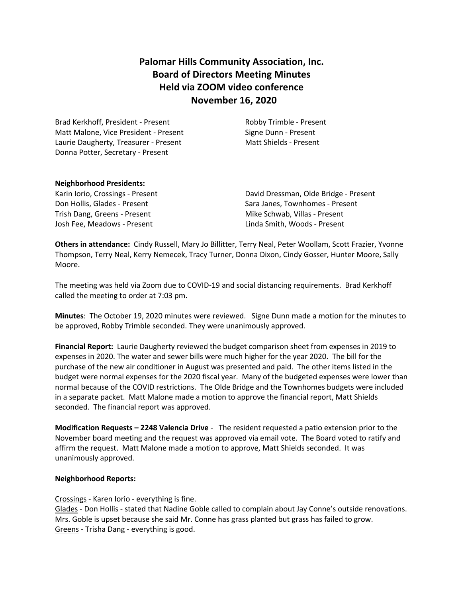# **Palomar Hills Community Association, Inc. Board of Directors Meeting Minutes Held via ZOOM video conference November 16, 2020**

Brad Kerkhoff, President - Present Robby Trimble - Present Matt Malone, Vice President - Present Signe Dunn - Present Laurie Daugherty, Treasurer - Present Matt Shields - Present Donna Potter, Secretary - Present

### **Neighborhood Presidents:**

Trish Dang, Greens - Present Trish Dang, Greens - Present Josh Fee, Meadows - Present Linda Smith, Woods - Present

Karin Iorio, Crossings - Present **Charles Communist Communist Communist Communist Communist Communist Communist C** Don Hollis, Glades - Present Sara Janes, Townhomes - Present

**Others in attendance:** Cindy Russell, Mary Jo Billitter, Terry Neal, Peter Woollam, Scott Frazier, Yvonne Thompson, Terry Neal, Kerry Nemecek, Tracy Turner, Donna Dixon, Cindy Gosser, Hunter Moore, Sally Moore.

The meeting was held via Zoom due to COVID-19 and social distancing requirements. Brad Kerkhoff called the meeting to order at 7:03 pm.

**Minutes**: The October 19, 2020 minutes were reviewed. Signe Dunn made a motion for the minutes to be approved, Robby Trimble seconded. They were unanimously approved.

**Financial Report:** Laurie Daugherty reviewed the budget comparison sheet from expenses in 2019 to expenses in 2020. The water and sewer bills were much higher for the year 2020. The bill for the purchase of the new air conditioner in August was presented and paid. The other items listed in the budget were normal expenses for the 2020 fiscal year. Many of the budgeted expenses were lower than normal because of the COVID restrictions. The Olde Bridge and the Townhomes budgets were included in a separate packet. Matt Malone made a motion to approve the financial report, Matt Shields seconded. The financial report was approved.

**Modification Requests – 2248 Valencia Drive** - The resident requested a patio extension prior to the November board meeting and the request was approved via email vote. The Board voted to ratify and affirm the request. Matt Malone made a motion to approve, Matt Shields seconded. It was unanimously approved.

### **Neighborhood Reports:**

Crossings - Karen Iorio - everything is fine.

Glades - Don Hollis - stated that Nadine Goble called to complain about Jay Conne's outside renovations. Mrs. Goble is upset because she said Mr. Conne has grass planted but grass has failed to grow. Greens - Trisha Dang - everything is good.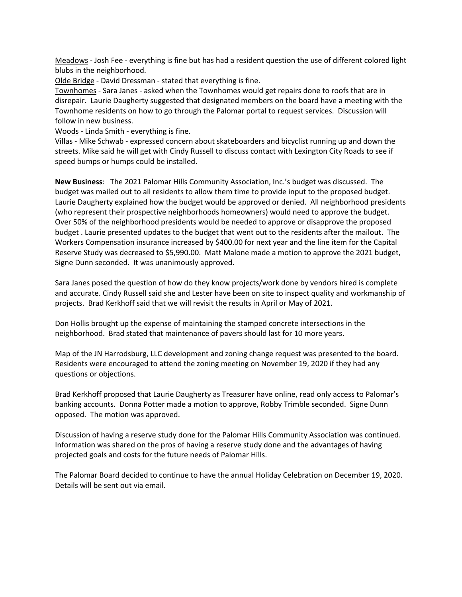Meadows - Josh Fee - everything is fine but has had a resident question the use of different colored light blubs in the neighborhood.

Olde Bridge - David Dressman - stated that everything is fine.

Townhomes - Sara Janes - asked when the Townhomes would get repairs done to roofs that are in disrepair. Laurie Daugherty suggested that designated members on the board have a meeting with the Townhome residents on how to go through the Palomar portal to request services. Discussion will follow in new business.

Woods - Linda Smith - everything is fine.

Villas - Mike Schwab - expressed concern about skateboarders and bicyclist running up and down the streets. Mike said he will get with Cindy Russell to discuss contact with Lexington City Roads to see if speed bumps or humps could be installed.

**New Business**: The 2021 Palomar Hills Community Association, Inc.'s budget was discussed. The budget was mailed out to all residents to allow them time to provide input to the proposed budget. Laurie Daugherty explained how the budget would be approved or denied. All neighborhood presidents (who represent their prospective neighborhoods homeowners) would need to approve the budget. Over 50% of the neighborhood presidents would be needed to approve or disapprove the proposed budget . Laurie presented updates to the budget that went out to the residents after the mailout. The Workers Compensation insurance increased by \$400.00 for next year and the line item for the Capital Reserve Study was decreased to \$5,990.00. Matt Malone made a motion to approve the 2021 budget, Signe Dunn seconded. It was unanimously approved.

Sara Janes posed the question of how do they know projects/work done by vendors hired is complete and accurate. Cindy Russell said she and Lester have been on site to inspect quality and workmanship of projects. Brad Kerkhoff said that we will revisit the results in April or May of 2021.

Don Hollis brought up the expense of maintaining the stamped concrete intersections in the neighborhood. Brad stated that maintenance of pavers should last for 10 more years.

Map of the JN Harrodsburg, LLC development and zoning change request was presented to the board. Residents were encouraged to attend the zoning meeting on November 19, 2020 if they had any questions or objections.

Brad Kerkhoff proposed that Laurie Daugherty as Treasurer have online, read only access to Palomar's banking accounts. Donna Potter made a motion to approve, Robby Trimble seconded. Signe Dunn opposed. The motion was approved.

Discussion of having a reserve study done for the Palomar Hills Community Association was continued. Information was shared on the pros of having a reserve study done and the advantages of having projected goals and costs for the future needs of Palomar Hills.

The Palomar Board decided to continue to have the annual Holiday Celebration on December 19, 2020. Details will be sent out via email.